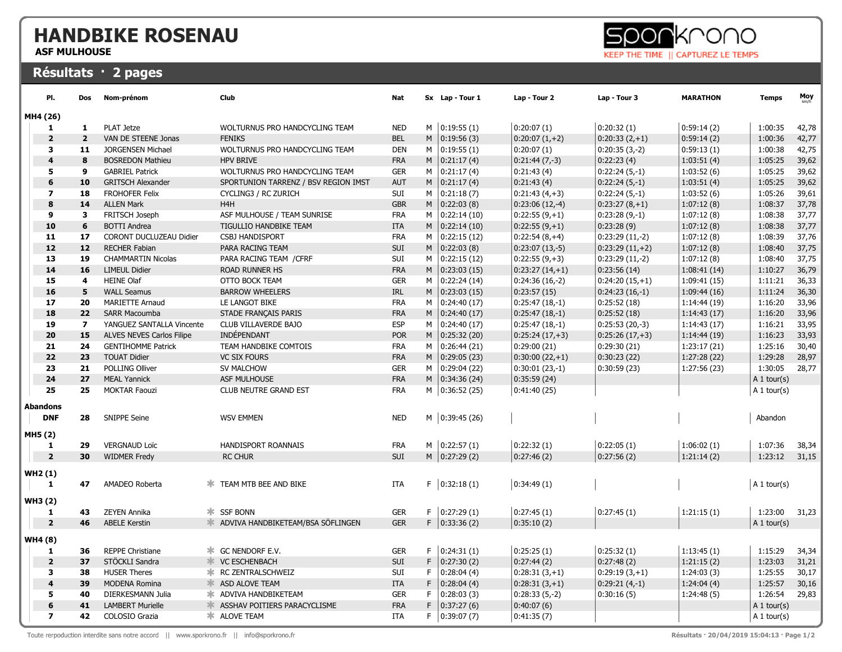## HANDBIKE ROSENAU

ASF MULHOUSE

## Résultats · 2 pages



| PI.                     | Dos            | Nom-prénom                | Club                                   | <b>Nat</b> |    | Sx Lap - Tour 1    | Lap - Tour 2     | Lap - Tour 3     | <b>MARATHON</b> | <b>Temps</b>  | Moy   |
|-------------------------|----------------|---------------------------|----------------------------------------|------------|----|--------------------|------------------|------------------|-----------------|---------------|-------|
| MH4 (26)                |                |                           |                                        |            |    |                    |                  |                  |                 |               |       |
| 1                       | 1              | <b>PLAT Jetze</b>         | WOLTURNUS PRO HANDCYCLING TEAM         | <b>NED</b> |    | $M$   0:19:55 (1)  | 0:20:07(1)       | 0:20:32(1)       | 0:59:14(2)      | 1:00:35       | 42,78 |
| $\overline{\mathbf{2}}$ | $\overline{2}$ | VAN DE STEENE Jonas       | <b>FENIKS</b>                          | <b>BEL</b> | M  | 0:19:56(3)         | $0:20:07(1,+2)$  | $0:20:33(2,+1)$  | 0:59:14(2)      | 1:00:36       | 42,77 |
| 3                       | 11             | <b>JORGENSEN Michael</b>  | WOLTURNUS PRO HANDCYCLING TEAM         | <b>DEN</b> | м  | 0:19:55(1)         | 0:20:07(1)       | $0:20:35(3,-2)$  | 0:59:13(1)      | 1:00:38       | 42,75 |
| $\overline{\mathbf{4}}$ | 8              | <b>BOSREDON Mathieu</b>   | <b>HPV BRIVE</b>                       | <b>FRA</b> |    | $M$   0:21:17 (4)  | $0:21:44(7,-3)$  | 0:22:23(4)       | 1:03:51(4)      | 1:05:25       | 39,62 |
| 5                       | 9              | <b>GABRIEL Patrick</b>    | WOLTURNUS PRO HANDCYCLING TEAM         | <b>GER</b> | м  | 0:21:17(4)         | 0:21:43(4)       | $0:22:24(5,-1)$  | 1:03:52(6)      | 1:05:25       | 39,62 |
| 6                       | 10             | <b>GRITSCH Alexander</b>  | SPORTUNION TARRENZ / BSV REGION IMST   | <b>AUT</b> |    | $M$   0:21:17 (4)  | 0:21:43(4)       | $0:22:24(5,-1)$  | 1:03:51(4)      | 1:05:25       | 39,62 |
| $\overline{ }$          | 18             | <b>FROHOFER Felix</b>     | CYCLING3 / RC ZURICH                   | SUI        | м  | 0:21:18(7)         | $0:21:43(4,+3)$  | $0:22:24(5,-1)$  | 1:03:52(6)      | 1:05:26       | 39,61 |
| 8                       | 14             | <b>ALLEN Mark</b>         | H <sub>4</sub> H                       | <b>GBR</b> |    | $M$   0:22:03 (8)  | $0:23:06(12,-4)$ | $0:23:27(8,+1)$  | 1:07:12(8)      | 1:08:37       | 37,78 |
| 9                       | 3              | FRITSCH Joseph            | ASF MULHOUSE / TEAM SUNRISE            | <b>FRA</b> | м  | 0:22:14(10)        | $0:22:55(9,+1)$  | $0:23:28(9,-1)$  | 1:07:12(8)      | 1:08:38       | 37,77 |
| 10                      | 6              | <b>BOTTI Andrea</b>       | TIGULLIO HANDBIKE TEAM                 | <b>ITA</b> | M  | 0:22:14(10)        | $0:22:55(9,+1)$  | 0:23:28(9)       | 1:07:12(8)      | 1:08:38       | 37,77 |
| 11                      | 17             | CORONT DUCLUZEAU Didier   | <b>CSBJ HANDISPORT</b>                 | <b>FRA</b> | м  | 0:22:15(12)        | $0:22:54(8,+4)$  | $0:23:29(11,-2)$ | 1:07:12(8)      | 1:08:39       | 37,76 |
| 12                      | 12             | <b>RECHER Fabian</b>      | PARA RACING TEAM                       | SUI        |    | $M$   0:22:03 (8)  | $0:23:07(13,-5)$ | $0:23:29(11,+2)$ | 1:07:12(8)      | 1:08:40       | 37,75 |
| 13                      | 19             | <b>CHAMMARTIN Nicolas</b> | PARA RACING TEAM / CFRF                | SUI        | M  | 0:22:15(12)        | $0:22:55(9,+3)$  | $0:23:29(11,-2)$ | 1:07:12(8)      | 1:08:40       | 37,75 |
| 14                      | 16             | <b>LIMEUL Didier</b>      | <b>ROAD RUNNER HS</b>                  | <b>FRA</b> |    | $M$   0:23:03 (15) | $0:23:27(14,+1)$ | 0:23:56(14)      | 1:08:41(14)     | 1:10:27       | 36,79 |
| 15                      | 4              | <b>HEINE Olaf</b>         | OTTO BOCK TEAM                         | <b>GER</b> | М  | 0:22:24(14)        | $0:24:36(16,-2)$ | $0:24:20(15,+1)$ | 1:09:41(15)     | 1:11:21       | 36,33 |
| 16                      | 5              | <b>WALL Seamus</b>        | <b>BARROW WHEELERS</b>                 | <b>IRL</b> | M  | 0:23:03(15)        | 0:23:57(15)      | $0:24:23(16,-1)$ | 1:09:44(16)     | 1:11:24       | 36,30 |
| 17                      | 20             | <b>MARIETTE Arnaud</b>    | LE LANGOT BIKE                         | <b>FRA</b> | м  | 0:24:40(17)        | $0:25:47(18,-1)$ | 0:25:52(18)      | 1:14:44(19)     | 1:16:20       | 33,96 |
| 18                      | 22             | <b>SARR Macoumba</b>      | STADE FRANÇAIS PARIS                   | <b>FRA</b> | M  | 0:24:40(17)        | $0:25:47(18,-1)$ | 0:25:52(18)      | 1:14:43(17)     | 1:16:20       | 33,96 |
| 19                      | $\overline{7}$ | YANGUEZ SANTALLA Vincente | CLUB VILLAVERDE BAJO                   | <b>ESP</b> | м  | 0:24:40(17)        | $0:25:47(18,-1)$ | $0:25:53(20,-3)$ | 1:14:43(17)     | 1:16:21       | 33,95 |
| 20                      | 15             | ALVES NEVES Carlos Filipe | <b>INDÉPENDANT</b>                     | <b>POR</b> |    | $M$   0:25:32 (20) | $0:25:24(17,+3)$ | $0:25:26(17,+3)$ | 1:14:44(19)     | 1:16:23       | 33,93 |
| 21                      | 24             | <b>GENTIHOMME Patrick</b> | TEAM HANDBIKE COMTOIS                  | <b>FRA</b> | M  | 0:26:44(21)        | 0:29:00(21)      | 0:29:30(21)      | 1:23:17(21)     | 1:25:16       | 30,40 |
| 22                      | 23             | <b>TOUAT Didier</b>       | <b>VC SIX FOURS</b>                    | <b>FRA</b> |    | $M$ 0:29:05 (23)   | $0:30:00(22,+1)$ | 0:30:23(22)      | 1:27:28(22)     | 1:29:28       | 28,97 |
| 23                      | 21             | POLLING Olliver           | SV MALCHOW                             | <b>GER</b> | M  | 0:29:04(22)        | $0:30:01(23,-1)$ | 0:30:59(23)      | 1:27:56 (23)    | 1:30:05       | 28,77 |
| 24                      | 27             | <b>MEAL Yannick</b>       | ASF MULHOUSE                           | <b>FRA</b> |    | $M$   0:34:36 (24) | 0:35:59(24)      |                  |                 | A $1$ tour(s) |       |
| 25                      | 25             | <b>MOKTAR Faouzi</b>      | CLUB NEUTRE GRAND EST                  | <b>FRA</b> | М  | 0:36:52(25)        | 0:41:40(25)      |                  |                 | A 1 tour(s)   |       |
|                         |                |                           |                                        |            |    |                    |                  |                  |                 |               |       |
| Abandons                |                |                           |                                        |            |    |                    |                  |                  |                 |               |       |
| <b>DNF</b>              | 28             | <b>SNIPPE Seine</b>       | <b>WSV EMMEN</b>                       | <b>NED</b> |    | $M$   0:39:45 (26) |                  |                  |                 | Abandon       |       |
| MH5 (2)                 |                |                           |                                        |            |    |                    |                  |                  |                 |               |       |
| 1                       | 29             | <b>VERGNAUD Loïc</b>      | HANDISPORT ROANNAIS                    | <b>FRA</b> |    | $M$ 0:22:57 (1)    | 0:22:32(1)       | 0:22:05(1)       | 1:06:02(1)      | 1:07:36       | 38,34 |
| $\overline{2}$          | 30             | <b>WIDMER Fredy</b>       | <b>RC CHUR</b>                         | <b>SUI</b> |    | $M$   0:27:29 (2)  | 0:27:46(2)       | 0:27:56(2)       | 1:21:14(2)      | 1:23:12       | 31,15 |
|                         |                |                           |                                        |            |    |                    |                  |                  |                 |               |       |
| WH2 (1)                 |                |                           |                                        |            |    |                    |                  |                  |                 |               |       |
| 1                       | 47             | AMADEO Roberta            | <b>* TEAM MTB BEE AND BIKE</b>         | ITA        |    | $F$ 0:32:18 (1)    | 0:34:49(1)       |                  |                 | A 1 tour(s)   |       |
| WH3 (2)                 |                |                           |                                        |            |    |                    |                  |                  |                 |               |       |
| 1                       | 43             | <b>ZEYEN Annika</b>       | ж.<br><b>SSF BONN</b>                  | <b>GER</b> |    | F   0:27:29(1)     | 0:27:45(1)       | 0:27:45(1)       | 1:21:15(1)      | 1:23:00       | 31,23 |
| $\overline{\mathbf{2}}$ | 46             | <b>ABELE Kerstin</b>      | 氺<br>ADVIVA HANDBIKETEAM/BSA SÖFLINGEN | <b>GER</b> |    | $F$ 0:33:36 (2)    | 0:35:10(2)       |                  |                 | A 1 tour(s)   |       |
|                         |                |                           |                                        |            |    |                    |                  |                  |                 |               |       |
| WH4 (8)                 |                |                           |                                        |            |    |                    |                  |                  |                 |               |       |
| 1                       | 36             | <b>REPPE Christiane</b>   | <b>* GC NENDORF E.V.</b>               | <b>GER</b> |    | F   0:24:31(1)     | 0:25:25(1)       | 0:25:32(1)       | 1:13:45(1)      | 1:15:29       | 34,34 |
| $\overline{2}$          | 37             | STÖCKLI Sandra            | $\frac{1}{2}$<br><b>VC ESCHENBACH</b>  | <b>SUI</b> |    | F   0:27:30(2)     | 0:27:44(2)       | 0:27:48(2)       | 1:21:15(2)      | 1:23:03       | 31,21 |
| 3                       | 38             | <b>HUSER Theres</b>       | ж.<br>RC ZENTRALSCHWEIZ                | SUI        | F  | 0:28:04(4)         | $0:28:31(3,+1)$  | $0:29:19(3,+1)$  | 1:24:03(3)      | 1:25:55       | 30,17 |
| 4                       | 39             | <b>MODENA Romina</b>      | ASD ALOVE TEAM<br>$\frac{1}{2}$        | <b>ITA</b> |    | F   0:28:04(4)     | $0:28:31(3,+1)$  | $0:29:21(4,-1)$  | 1:24:04(4)      | 1:25:57       | 30,16 |
| 5                       | 40             | DIERKESMANN Julia         | ж.<br>ADVIVA HANDBIKETEAM              | <b>GER</b> | F  | 0:28:03(3)         | $0:28:33(5,-2)$  | 0:30:16(5)       | 1:24:48(5)      | 1:26:54       | 29,83 |
| 6                       | 41             | <b>LAMBERT Murielle</b>   | ASSHAV POITIERS PARACYCLISME           | <b>FRA</b> | F. | 0:37:27(6)         | 0:40:07(6)       |                  |                 | A 1 tour(s)   |       |
| $\overline{\mathbf{z}}$ | 42             | COLOSIO Grazia            | <b>* ALOVE TEAM</b>                    | <b>ITA</b> |    | F   0:39:07(7)     | 0:41:35(7)       |                  |                 | A 1 tour(s)   |       |